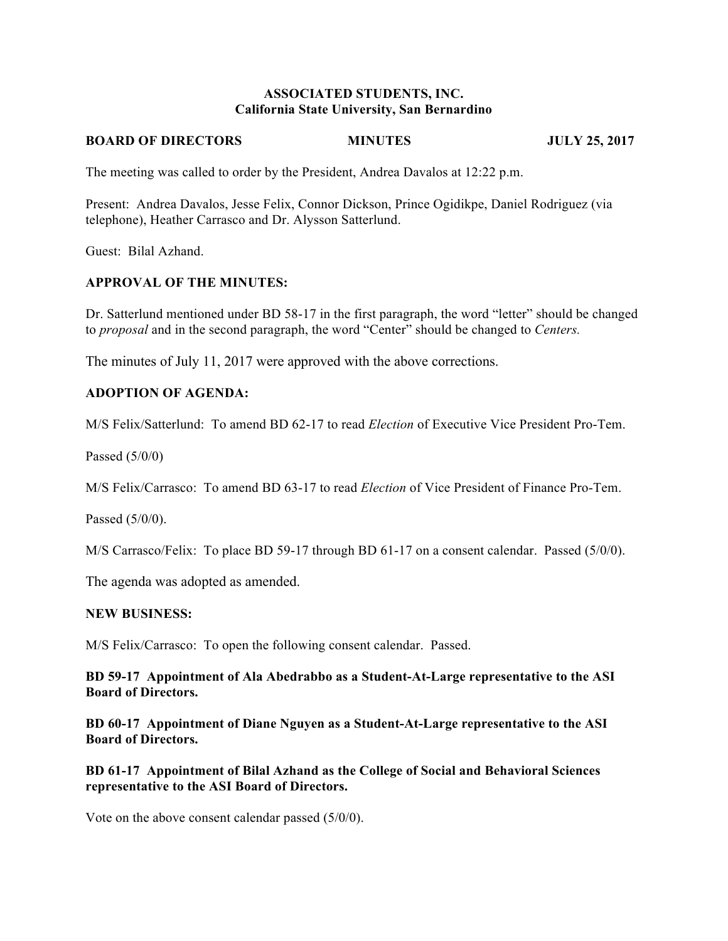## **ASSOCIATED STUDENTS, INC. California State University, San Bernardino**

#### **BOARD OF DIRECTORS MINUTES JULY 25, 2017**

The meeting was called to order by the President, Andrea Davalos at 12:22 p.m.

Present: Andrea Davalos, Jesse Felix, Connor Dickson, Prince Ogidikpe, Daniel Rodriguez (via telephone), Heather Carrasco and Dr. Alysson Satterlund.

Guest: Bilal Azhand.

### **APPROVAL OF THE MINUTES:**

Dr. Satterlund mentioned under BD 58-17 in the first paragraph, the word "letter" should be changed to *proposal* and in the second paragraph, the word "Center" should be changed to *Centers.*

The minutes of July 11, 2017 were approved with the above corrections.

### **ADOPTION OF AGENDA:**

M/S Felix/Satterlund: To amend BD 62-17 to read *Election* of Executive Vice President Pro-Tem.

Passed (5/0/0)

M/S Felix/Carrasco: To amend BD 63-17 to read *Election* of Vice President of Finance Pro-Tem.

Passed (5/0/0).

M/S Carrasco/Felix: To place BD 59-17 through BD 61-17 on a consent calendar. Passed (5/0/0).

The agenda was adopted as amended.

### **NEW BUSINESS:**

M/S Felix/Carrasco: To open the following consent calendar. Passed.

**BD 59-17 Appointment of Ala Abedrabbo as a Student-At-Large representative to the ASI Board of Directors.** 

**BD 60-17 Appointment of Diane Nguyen as a Student-At-Large representative to the ASI Board of Directors.** 

**BD 61-17 Appointment of Bilal Azhand as the College of Social and Behavioral Sciences representative to the ASI Board of Directors.** 

Vote on the above consent calendar passed (5/0/0).